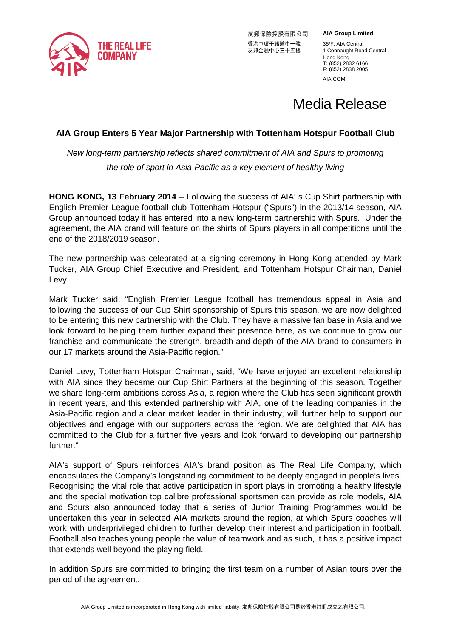

友邦保險控股有限公司 香港中環干諾道中一號 35/F, AIA Central<br>友邦金融中心三十五樓 1 Connaught Roa

**AIA Group Limited**

1 Connaught Road Central Hong Kong T: (852) 2832 6166 F: (852) 2838 2005 AIA.COM

# Media Release

## **AIA Group Enters 5 Year Major Partnership with Tottenham Hotspur Football Club**

*New long-term partnership reflects shared commitment of AIA and Spurs to promoting the role of sport in Asia-Pacific as a key element of healthy living*

**HONG KONG, 13 February 2014** – Following the success of AIA' s Cup Shirt partnership with English Premier League football club Tottenham Hotspur ("Spurs") in the 2013/14 season, AIA Group announced today it has entered into a new long-term partnership with Spurs. Under the agreement, the AIA brand will feature on the shirts of Spurs players in all competitions until the end of the 2018/2019 season.

The new partnership was celebrated at a signing ceremony in Hong Kong attended by Mark Tucker, AIA Group Chief Executive and President, and Tottenham Hotspur Chairman, Daniel Levy.

Mark Tucker said, "English Premier League football has tremendous appeal in Asia and following the success of our Cup Shirt sponsorship of Spurs this season, we are now delighted to be entering this new partnership with the Club. They have a massive fan base in Asia and we look forward to helping them further expand their presence here, as we continue to grow our franchise and communicate the strength, breadth and depth of the AIA brand to consumers in our 17 markets around the Asia-Pacific region."

Daniel Levy, Tottenham Hotspur Chairman, said, "We have enjoyed an excellent relationship with AIA since they became our Cup Shirt Partners at the beginning of this season. Together we share long-term ambitions across Asia, a region where the Club has seen significant growth in recent years, and this extended partnership with AIA, one of the leading companies in the Asia-Pacific region and a clear market leader in their industry, will further help to support our objectives and engage with our supporters across the region. We are delighted that AIA has committed to the Club for a further five years and look forward to developing our partnership further."

AIA's support of Spurs reinforces AIA's brand position as The Real Life Company, which encapsulates the Company's longstanding commitment to be deeply engaged in people's lives. Recognising the vital role that active participation in sport plays in promoting a healthy lifestyle and the special motivation top calibre professional sportsmen can provide as role models, AIA and Spurs also announced today that a series of Junior Training Programmes would be undertaken this year in selected AIA markets around the region, at which Spurs coaches will work with underprivileged children to further develop their interest and participation in football. Football also teaches young people the value of teamwork and as such, it has a positive impact that extends well beyond the playing field.

In addition Spurs are committed to bringing the first team on a number of Asian tours over the period of the agreement.